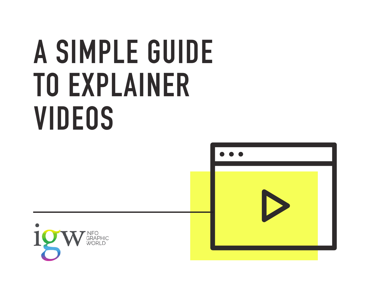# **A SIMPLE GUIDE TO EXPLAINER VIDEOS**



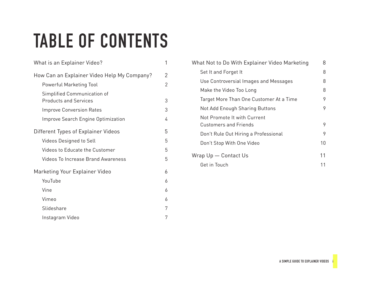## **TABLE OF CONTENTS**

| What is an Explainer Video?                                 | 1 |
|-------------------------------------------------------------|---|
| How Can an Explainer Video Help My Company?                 | 2 |
| Powerful Marketing Tool                                     | 2 |
| Simplified Communication of<br><b>Products and Services</b> | 3 |
| <b>Improve Conversion Rates</b>                             | 3 |
| <b>Improve Search Engine Optimization</b>                   | 4 |
| Different Types of Explainer Videos                         | 5 |
| <b>Videos Designed to Sell</b>                              | 5 |
| Videos to Educate the Customer                              | 5 |
| <b>Videos To Increase Brand Awareness</b>                   | 5 |
| Marketing Your Explainer Video                              | 6 |
| YouTube                                                     | 6 |
| Vine                                                        | 6 |
| Vimeo                                                       | 6 |
| Slideshare                                                  | 7 |
| Instagram Video                                             | 7 |

| What Not to Do With Explainer Video Marketing               | 8  |
|-------------------------------------------------------------|----|
| Set It and Forget It                                        | 8  |
| Use Controversial Images and Messages                       | 8  |
| Make the Video Too Long                                     | 8  |
| Target More Than One Customer At a Time                     | 9  |
| Not Add Enough Sharing Buttons                              | 9  |
| Not Promote It with Current<br><b>Customers and Friends</b> | 9  |
| Don't Rule Out Hiring a Professional                        | 9  |
| Don't Stop With One Video                                   | 10 |
| Wrap Up — Contact Us                                        | 11 |
| Get in Touch                                                | 11 |
|                                                             |    |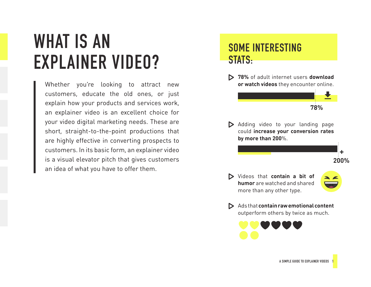## <span id="page-2-0"></span>**WHAT IS AN EXPLAINER VIDEO?**

Whether you're looking to attract new customers, educate the old ones, or just explain how your products and services work, an explainer video is an excellent choice for your video digital marketing needs. These are short, straight-to-the-point productions that are highly effective in converting prospects to customers. In its basic form, an explainer video is a visual elevator pitch that gives customers an idea of what you have to offer them.

#### **SOME INTERESTING STATS:**

 **78%** of adult internet users **download or watch videos** they encounter online.

**78%**

Adding video to your landing page could **increase your conversion rates by more than 200**%.

Videos that **contain a bit of humor** are watched and shared more than any other type.

**200% +**

Ads that **contain raw emotional content** outperform others by twice as much.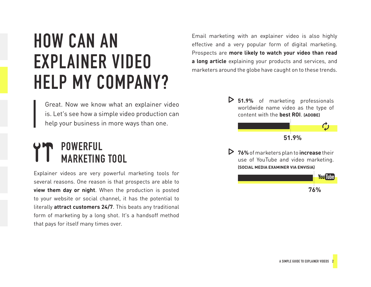## <span id="page-3-0"></span>**HOW CAN AN EXPLAINER VIDEO HELP MY COMPANY?**

Email marketing with an explainer video is also highly effective and a very popular form of digital marketing. Prospects are **more likely to watch your video than read a long article** explaining your products and services, and marketers around the globe have caught on to these trends.

Great. Now we know what an explainer video is. Let's see how a simple video production can help your business in more ways than one.

#### **POWERFUL MARKETING TOOL**

Explainer videos are very powerful marketing tools for several reasons. One reason is that prospects are able to **view them day or night**. When the production is posted to your website or social channel, it has the potential to literally **attract customers 24/7**. This beats any traditional form of marketing by a long shot. It's a handsoff method that pays for itself many times over.

 **51.9%** of marketing professionals worldwide name video as the type of content with the **best ROI**. **(ADOBE)**

**51.9%**

 **76%** of marketers plan to **increase** their use of YouTube and video marketing. **(SOCIAL MEDIA EXAMINER VIA ENVISIA)**

> **You Tube 76%**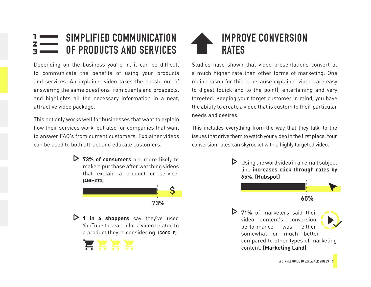#### <span id="page-4-0"></span>**SIMPLIFIED COMMUNICATION OF PRODUCTS AND SERVICES**

Depending on the business you're in, it can be difficult to communicate the benefits of using your products and services. An explainer video takes the hassle out of answering the same questions from clients and prospects, and highlights all the necessary information in a neat, attractive video package.

This not only works well for businesses that want to explain how their services work, but also for companies that want to answer FAQ's from current customers. Explainer videos can be used to both attract and educate customers.

> **73% of consumers** are more likely to make a purchase after watching videos that explain a product or service. **(ANIMOTO)**



 **1 in 4 shoppers** say they've used YouTube to search for a video related to a product they're considering. **(GOOGLE)**





Studies have shown that video presentations convert at a much higher rate than other forms of marketing. One main reason for this is because explainer videos are easy to digest (quick and to the point), entertaining and very targeted. Keeping your target customer in mind, you have the ability to create a video that is custom to their particular needs and desires.

This includes everything from the way that they talk, to the issues that drive them to watch your video in the first place. Your conversion rates can skyrocket with a highly targeted video.

> Using the word video in an email subject line **increases click through rates by 65%**. **(Hubspot)**



somewhat or much better compared to other types of marketing content. **(Marketing Land)**

 **71%** of marketers said their video content's conversion performance was either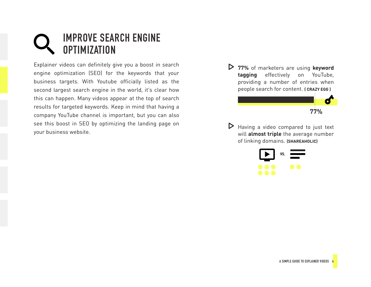### <span id="page-5-0"></span>**IMPROVE SEARCH ENGINE OPTIMIZATION**

Explainer videos can definitely give you a boost in search engine optimization (SEO) for the keywords that your business targets. With Youtube officially listed as the second largest search engine in the world, it's clear how this can happen. Many videos appear at the top of search results for targeted keywords. Keep in mind that having a company YouTube channel is important, but you can also see this boost in SEO by optimizing the landing page on your business website.

 **77%** of marketers are using **keyword tagging** effectively on YouTube, providing a number of entries when people search for content. **( CRAZY EGG )**



Having a video compared to just text will **almost triple** the average number of linking domains. **(SHAREAHOLIC)**

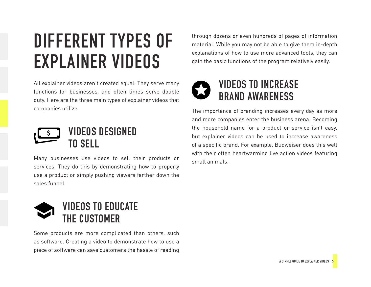## <span id="page-6-0"></span>**DIFFERENT TYPES OF EXPLAINER VIDEOS**

All explainer videos aren't created equal. They serve many functions for businesses, and often times serve double duty. Here are the three main types of explainer videos that companies utilize.



Many businesses use videos to sell their products or services. They do this by demonstrating how to properly use a product or simply pushing viewers farther down the sales funnel.



Some products are more complicated than others, such as software. Creating a video to demonstrate how to use a piece of software can save customers the hassle of reading

through dozens or even hundreds of pages of information material. While you may not be able to give them in-depth explanations of how to use more advanced tools, they can gain the basic functions of the program relatively easily.



#### **VIDEOS TO INCREASE BRAND AWARENESS**

The importance of branding increases every day as more and more companies enter the business arena. Becoming the household name for a product or service isn't easy, but explainer videos can be used to increase awareness of a specific brand. For example, Budweiser does this well with their often heartwarming live action videos featuring small animals.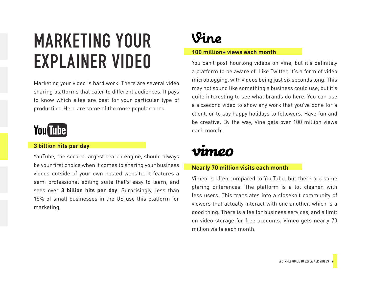## <span id="page-7-0"></span>**MARKETING YOUR EXPLAINER VIDEO**

Marketing your video is hard work. There are several video sharing platforms that cater to different audiences. It pays to know which sites are best for your particular type of production. Here are some of the more popular ones.



#### **3 billion hits per day**

YouTube, the second largest search engine, should always be your first choice when it comes to sharing your business videos outside of your own hosted website. It features a semi professional editing suite that's easy to learn, and sees over **3 billion hits per day**. Surprisingly, less than 15% of small businesses in the US use this platform for marketing.



#### **100 million+ views each month**

You can't post hourlong videos on Vine, but it's definitely a platform to be aware of. Like Twitter, it's a form of video microblogging, with videos being just six seconds long. This may not sound like something a business could use, but it's quite interesting to see what brands do here. You can use a sixsecond video to show any work that you've done for a client, or to say happy holidays to followers. Have fun and be creative. By the way, Vine gets over 100 million views each month.

### vimeo

#### **Nearly 70 million visits each month**

Vimeo is often compared to YouTube, but there are some glaring differences. The platform is a lot cleaner, with less users. This translates into a closeknit community of viewers that actually interact with one another, which is a good thing. There is a fee for business services, and a limit on video storage for free accounts. Vimeo gets nearly 70 million visits each month.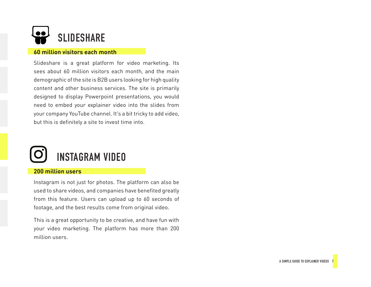

#### **60 million visitors each month**

Slideshare is a great platform for video marketing. Its sees about 60 million visitors each month, and the main demographic of the site is B2B users looking for high quality content and other business services. The site is primarily designed to display Powerpoint presentations, you would need to embed your explainer video into the slides from your company YouTube channel. It's a bit tricky to add video, but this is definitely a site to invest time into.



#### **200 million users**

Instagram is not just for photos. The platform can also be used to share videos, and companies have benefited greatly from this feature. Users can upload up to 60 seconds of footage, and the best results come from original video.

This is a great opportunity to be creative, and have fun with your video marketing. The platform has more than 200 million users.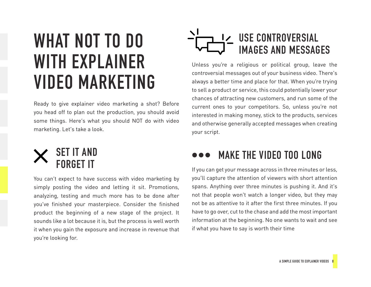## <span id="page-9-0"></span>**WHAT NOT TO DO WITH EXPLAINER VIDEO MARKETING**

Ready to give explainer video marketing a shot? Before you head off to plan out the production, you should avoid some things. Here's what you should NOT do with video marketing. Let's take a look.



You can't expect to have success with video marketing by simply posting the video and letting it sit. Promotions, analyzing, testing and much more has to be done after you've finished your masterpiece. Consider the finished product the beginning of a new stage of the project. It sounds like a lot because it is, but the process is well worth it when you gain the exposure and increase in revenue that you're looking for.

### **USE CONTROVERSIAL IMAGES AND MESSAGES**

Unless you're a religious or political group, leave the controversial messages out of your business video. There's always a better time and place for that. When you're trying to sell a product or service, this could potentially lower your chances of attracting new customers, and run some of the current ones to your competitors. So, unless you're not interested in making money, stick to the products, services and otherwise generally accepted messages when creating your script.

### **MAKE THE VIDEO TOO LONG**

If you can get your message across in three minutes or less, you'll capture the attention of viewers with short attention spans. Anything over three minutes is pushing it. And it's not that people won't watch a longer video, but they may not be as attentive to it after the first three minutes. If you have to go over, cut to the chase and add the most important information at the beginning. No one wants to wait and see if what you have to say is worth their time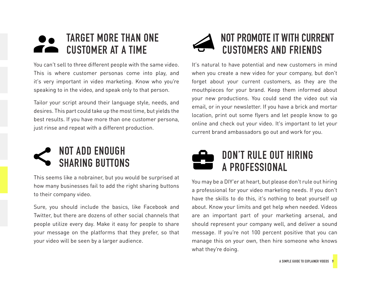### <span id="page-10-0"></span>**TARGET MORE THAN ONE CUSTOMER AT A TIME**

You can't sell to three different people with the same video. This is where customer personas come into play, and it's very important in video marketing. Know who you're speaking to in the video, and speak only to that person.

Tailor your script around their language style, needs, and desires. This part could take up the most time, but yields the best results. If you have more than one customer persona, just rinse and repeat with a different production.



This seems like a nobrainer, but you would be surprised at how many businesses fail to add the right sharing buttons to their company video.

Sure, you should include the basics, like Facebook and Twitter, but there are dozens of other social channels that people utilize every day. Make it easy for people to share your message on the platforms that they prefer, so that your video will be seen by a larger audience.



#### **NOT PROMOTE IT WITH CURRENT CUSTOMERS AND FRIENDS**

It's natural to have potential and new customers in mind when you create a new video for your company, but don't forget about your current customers, as they are the mouthpieces for your brand. Keep them informed about your new productions. You could send the video out via email, or in your newsletter. If you have a brick and mortar location, print out some flyers and let people know to go online and check out your video. It's important to let your current brand ambassadors go out and work for you.



You may be a DIY'er at heart, but please don't rule out hiring a professional for your video marketing needs. If you don't have the skills to do this, it's nothing to beat yourself up about. Know your limits and get help when needed. Videos are an important part of your marketing arsenal, and should represent your company well, and deliver a sound message. If you're not 100 percent positive that you can manage this on your own, then hire someone who knows what they're doing.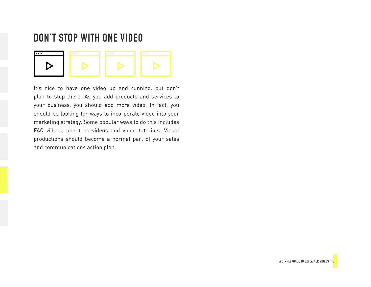#### <span id="page-11-0"></span>**DON'T STOP WITH ONE VIDEO**



It's nice to have one video up and running, but don't plan to stop there. As you add products and services to your business, you should add more video. In fact, you should be looking for ways to incorporate video into your marketing strategy. Some popular ways to do this includes FAQ videos, about us videos and video tutorials. Visual productions should become a normal part of your sales and communications action plan.